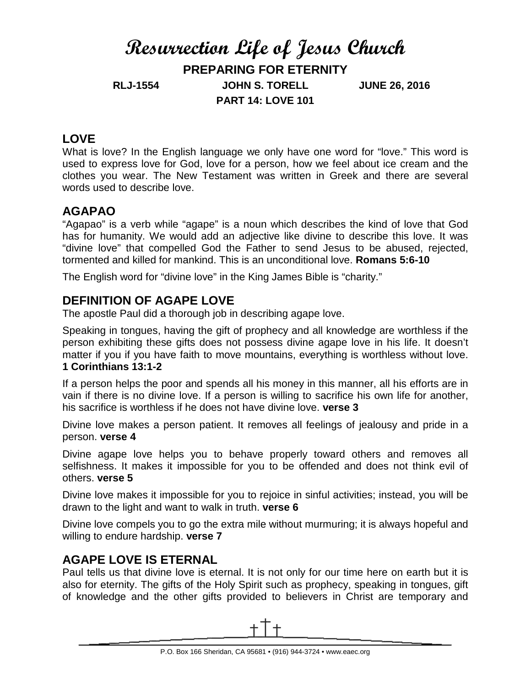# **Resurrection Life of Jesus Church**

**PREPARING FOR ETERNITY**

**RLJ-1554 JOHN S. TORELL JUNE 26, 2016 PART 14: LOVE 101**

# **LOVE**

What is love? In the English language we only have one word for "love." This word is used to express love for God, love for a person, how we feel about ice cream and the clothes you wear. The New Testament was written in Greek and there are several words used to describe love.

# **AGAPAO**

"Agapao" is a verb while "agape" is a noun which describes the kind of love that God has for humanity. We would add an adjective like divine to describe this love. It was "divine love" that compelled God the Father to send Jesus to be abused, rejected, tormented and killed for mankind. This is an unconditional love. **Romans 5:6-10**

The English word for "divine love" in the King James Bible is "charity."

# **DEFINITION OF AGAPE LOVE**

The apostle Paul did a thorough job in describing agape love.

Speaking in tongues, having the gift of prophecy and all knowledge are worthless if the person exhibiting these gifts does not possess divine agape love in his life. It doesn't matter if you if you have faith to move mountains, everything is worthless without love. **1 Corinthians 13:1-2**

If a person helps the poor and spends all his money in this manner, all his efforts are in vain if there is no divine love. If a person is willing to sacrifice his own life for another, his sacrifice is worthless if he does not have divine love. **verse 3**

Divine love makes a person patient. It removes all feelings of jealousy and pride in a person. **verse 4**

Divine agape love helps you to behave properly toward others and removes all selfishness. It makes it impossible for you to be offended and does not think evil of others. **verse 5**

Divine love makes it impossible for you to rejoice in sinful activities; instead, you will be drawn to the light and want to walk in truth. **verse 6**

Divine love compels you to go the extra mile without murmuring; it is always hopeful and willing to endure hardship. **verse 7**

### **AGAPE LOVE IS ETERNAL**

Paul tells us that divine love is eternal. It is not only for our time here on earth but it is also for eternity. The gifts of the Holy Spirit such as prophecy, speaking in tongues, gift of knowledge and the other gifts provided to believers in Christ are temporary and